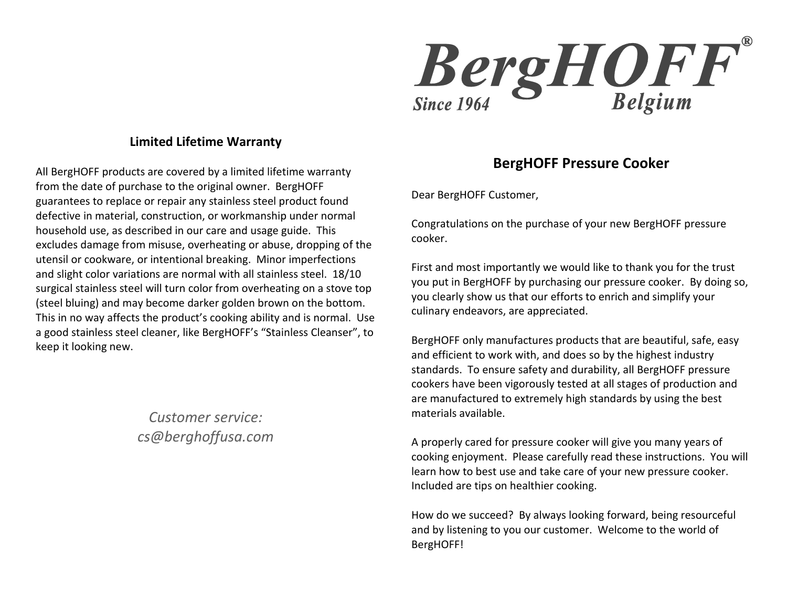

### **Limited Lifetime Warranty**

All BergHOFF products are covered by a limited lifetime warranty from the date of purchase to the original owner. BergHOFF guarantees to replace or repair any stainless steel product found defective in material, construction, or workmanship under normal household use, as described in our care and usage guide. This excludes damage from misuse, overheating or abuse, dropping of the utensil or cookware, or intentional breaking. Minor imperfections and slight color variations are normal with all stainless steel. 18/10 surgical stainless steel will turn color from overheating on a stove top (steel bluing) and may become darker golden brown on the bottom. This in no way affects the product's cooking ability and is normal. Use a good stainless steel cleaner, like BergHOFF's "Stainless Cleanser", to keep it looking new.

> *Customer service: cs@berghoffusa.com*

## **BergHOFF Pressure Cooker**

Dear BergHOFF Customer,

Congratulations on the purchase of your new BergHOFF pressure cooker.

First and most importantly we would like to thank you for the trust you put in BergHOFF by purchasing our pressure cooker. By doing so, you clearly show us that our efforts to enrich and simplify your culinary endeavors, are appreciated.

BergHOFF only manufactures products that are beautiful, safe, easy and efficient to work with, and does so by the highest industry standards. To ensure safety and durability, all BergHOFF pressure cookers have been vigorously tested at all stages of production and are manufactured to extremely high standards by using the best materials available.

A properly cared for pressure cooker will give you many years of cooking enjoyment. Please carefully read these instructions. You will learn how to best use and take care of your new pressure cooker. Included are tips on healthier cooking.

How do we succeed? By always looking forward, being resourceful and by listening to you our customer. Welcome to the world of BergHOFF!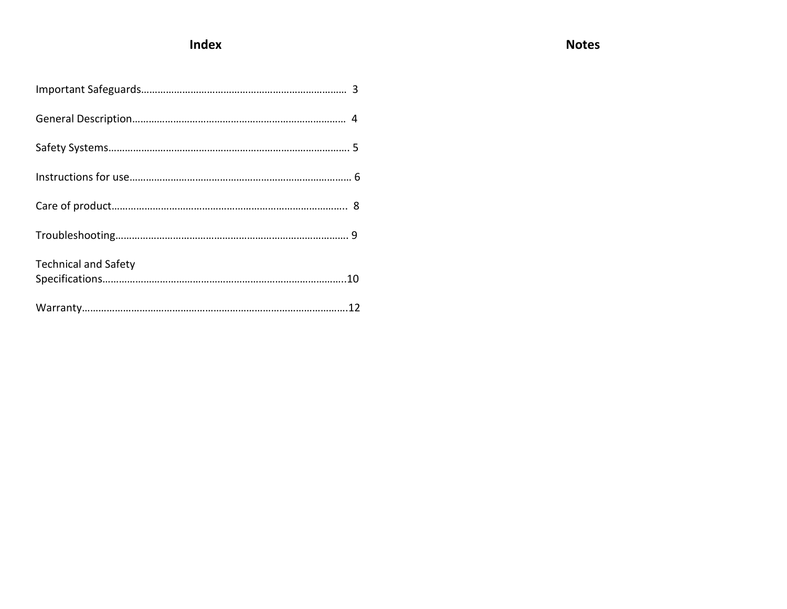# **Index**

| <b>Technical and Safety</b> |
|-----------------------------|
|                             |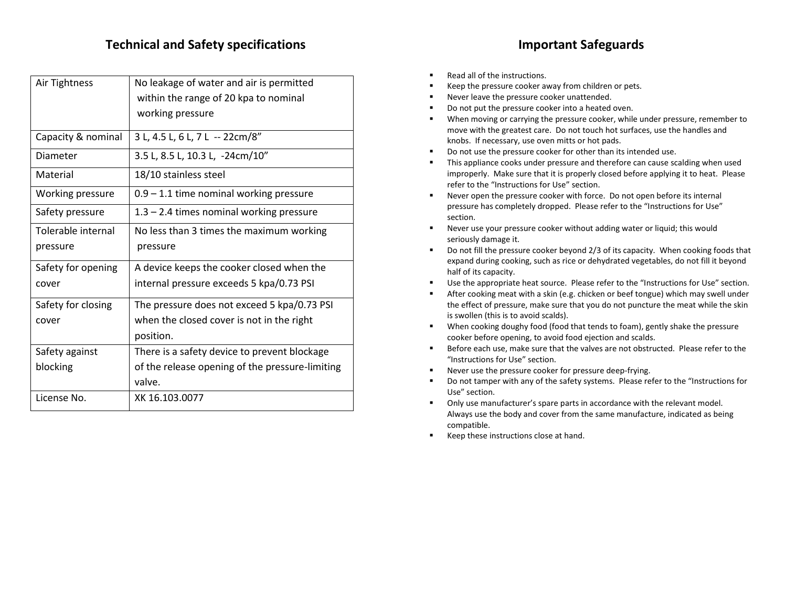### **Technical and Safety specifications Important Safeguards**

| Air Tightness           | No leakage of water and air is permitted<br>within the range of 20 kpa to nominal |
|-------------------------|-----------------------------------------------------------------------------------|
|                         | working pressure                                                                  |
| Capacity & nominal      | 3 L, 4.5 L, 6 L, 7 L -- 22cm/8"                                                   |
| Diameter                | 3.5 L, 8.5 L, 10.3 L, -24cm/10"                                                   |
| Material                | 18/10 stainless steel                                                             |
| <b>Working pressure</b> | $0.9 - 1.1$ time nominal working pressure                                         |
| Safety pressure         | $1.3 - 2.4$ times nominal working pressure                                        |
| Tolerable internal      | No less than 3 times the maximum working                                          |
| pressure                | pressure                                                                          |
| Safety for opening      | A device keeps the cooker closed when the                                         |
| cover                   | internal pressure exceeds 5 kpa/0.73 PSI                                          |
| Safety for closing      | The pressure does not exceed 5 kpa/0.73 PSI                                       |
| cover                   | when the closed cover is not in the right                                         |
|                         | position.                                                                         |
| Safety against          | There is a safety device to prevent blockage                                      |
| blocking                | of the release opening of the pressure-limiting                                   |
|                         | valve.                                                                            |
| License No.             | XK 16.103.0077                                                                    |

- Read all of the instructions.
- Keep the pressure cooker away from children or pets.
- **Never leave the pressure cooker unattended.**
- Do not put the pressure cooker into a heated oven.
- When moving or carrying the pressure cooker, while under pressure, remember to move with the greatest care. Do not touch hot surfaces, use the handles and knobs. If necessary, use oven mitts or hot pads.
- Do not use the pressure cooker for other than its intended use.
- This appliance cooks under pressure and therefore can cause scalding when used improperly. Make sure that it is properly closed before applying it to heat. Please refer to the "Instructions for Use" section.
- Never open the pressure cooker with force. Do not open before its internal pressure has completely dropped. Please refer to the "Instructions for Use" section.
- Never use your pressure cooker without adding water or liquid; this would seriously damage it.
- Do not fill the pressure cooker beyond 2/3 of its capacity. When cooking foods that expand during cooking, such as rice or dehydrated vegetables, do not fill it beyond half of its capacity.
- Use the appropriate heat source. Please refer to the "Instructions for Use" section.
- After cooking meat with a skin (e.g. chicken or beef tongue) which may swell under the effect of pressure, make sure that you do not puncture the meat while the skin is swollen (this is to avoid scalds).
- When cooking doughy food (food that tends to foam), gently shake the pressure cooker before opening, to avoid food ejection and scalds.
- Before each use, make sure that the valves are not obstructed. Please refer to the "Instructions for Use" section.
- Never use the pressure cooker for pressure deep-frying.
- Do not tamper with any of the safety systems. Please refer to the "Instructions for Use" section.
- **•** Only use manufacturer's spare parts in accordance with the relevant model. Always use the body and cover from the same manufacture, indicated as being compatible.
- Keep these instructions close at hand.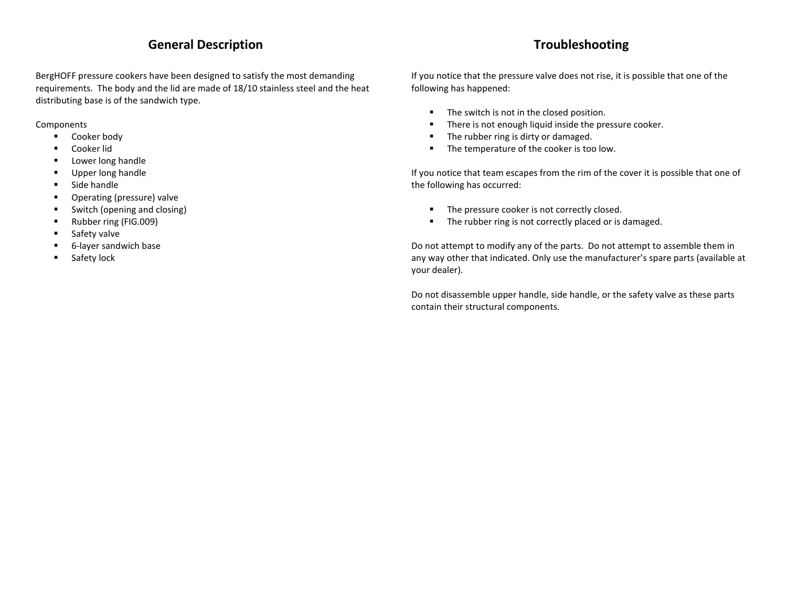### **General Description**

BergHOFF pressure cookers have been designed to satisfy the most demanding requirements. The body and the lid are made of 18/10 stainless steel and the heat distributing base is of the sandwich type.

**Components** 

- **Cooker body**
- Cooker lid
- **Lower long handle**
- **Upper long handle**
- **Side handle**
- **•** Operating (pressure) valve
- Switch (opening and closing)
- Rubber ring (FIG.009)
- **Safety valve**
- 6-layer sandwich base
- **Safety lock**

# **Troubleshooting**

If you notice that the pressure valve does not rise, it is possible that one of the following has happened:

- **The switch is not in the closed position.**
- **There is not enough liquid inside the pressure cooker.**
- The rubber ring is dirty or damaged.
- **The temperature of the cooker is too low.**

If you notice that team escapes from the rim of the cover it is possible that one of the following has occurred:

- The pressure cooker is not correctly closed.
- **The rubber ring is not correctly placed or is damaged.**

Do not attempt to modify any of the parts. Do not attempt to assemble them in any way other that indicated. Only use the manufacturer's spare parts (available at your dealer).

Do not disassemble upper handle, side handle, or the safety valve as these parts contain their structural components.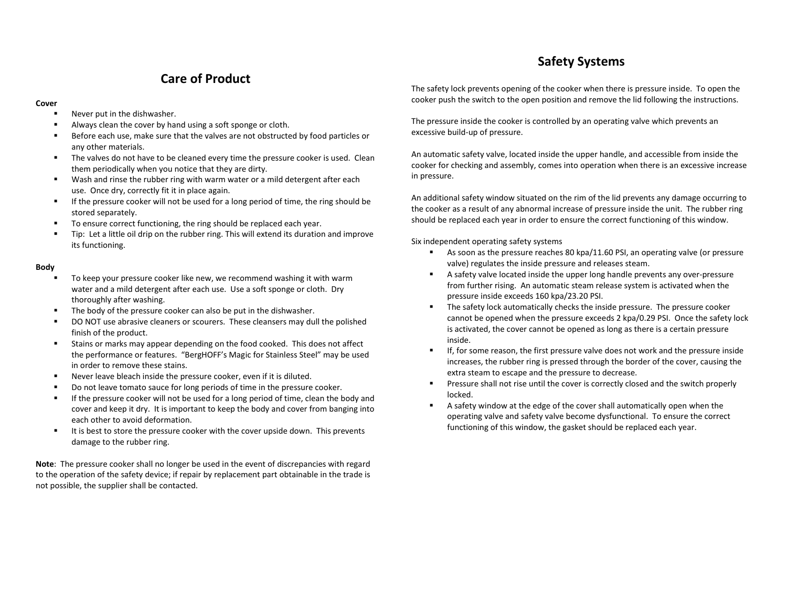### **Care of Product**

#### **Cover**

- Never put in the dishwasher.
- Always clean the cover by hand using a soft sponge or cloth.
- Before each use, make sure that the valves are not obstructed by food particles or any other materials.
- The valves do not have to be cleaned every time the pressure cooker is used. Clean them periodically when you notice that they are dirty.
- Wash and rinse the rubber ring with warm water or a mild detergent after each use. Once dry, correctly fit it in place again.
- If the pressure cooker will not be used for a long period of time, the ring should be stored separately.
- To ensure correct functioning, the ring should be replaced each year.
- Tip: Let a little oil drip on the rubber ring. This will extend its duration and improve its functioning.

#### **Body**

- To keep your pressure cooker like new, we recommend washing it with warm water and a mild detergent after each use. Use a soft sponge or cloth. Dry thoroughly after washing.
- The body of the pressure cooker can also be put in the dishwasher.
- DO NOT use abrasive cleaners or scourers. These cleansers may dull the polished finish of the product.
- Stains or marks may appear depending on the food cooked. This does not affect the performance or features. "BergHOFF's Magic for Stainless Steel" may be used in order to remove these stains.
- Never leave bleach inside the pressure cooker, even if it is diluted.
- Do not leave tomato sauce for long periods of time in the pressure cooker.
- If the pressure cooker will not be used for a long period of time, clean the body and cover and keep it dry. It is important to keep the body and cover from banging into each other to avoid deformation.
- It is best to store the pressure cooker with the cover upside down. This prevents damage to the rubber ring.

**Note**: The pressure cooker shall no longer be used in the event of discrepancies with regard to the operation of the safety device; if repair by replacement part obtainable in the trade is not possible, the supplier shall be contacted.

The safety lock prevents opening of the cooker when there is pressure inside. To open the cooker push the switch to the open position and remove the lid following the instructions.

The pressure inside the cooker is controlled by an operating valve which prevents an excessive build-up of pressure.

An automatic safety valve, located inside the upper handle, and accessible from inside the cooker for checking and assembly, comes into operation when there is an excessive increase in pressure.

An additional safety window situated on the rim of the lid prevents any damage occurring to the cooker as a result of any abnormal increase of pressure inside the unit. The rubber ring should be replaced each year in order to ensure the correct functioning of this window.

Six independent operating safety systems

- As soon as the pressure reaches 80 kpa/11.60 PSI, an operating valve (or pressure valve) regulates the inside pressure and releases steam.
- A safety valve located inside the upper long handle prevents any over-pressure from further rising. An automatic steam release system is activated when the pressure inside exceeds 160 kpa/23.20 PSI.
- The safety lock automatically checks the inside pressure. The pressure cooker cannot be opened when the pressure exceeds 2 kpa/0.29 PSI. Once the safety lock is activated, the cover cannot be opened as long as there is a certain pressure inside.
- If, for some reason, the first pressure valve does not work and the pressure inside increases, the rubber ring is pressed through the border of the cover, causing the extra steam to escape and the pressure to decrease.
- Pressure shall not rise until the cover is correctly closed and the switch properly locked.
- A safety window at the edge of the cover shall automatically open when the operating valve and safety valve become dysfunctional. To ensure the correct functioning of this window, the gasket should be replaced each year.

### **Safety Systems**